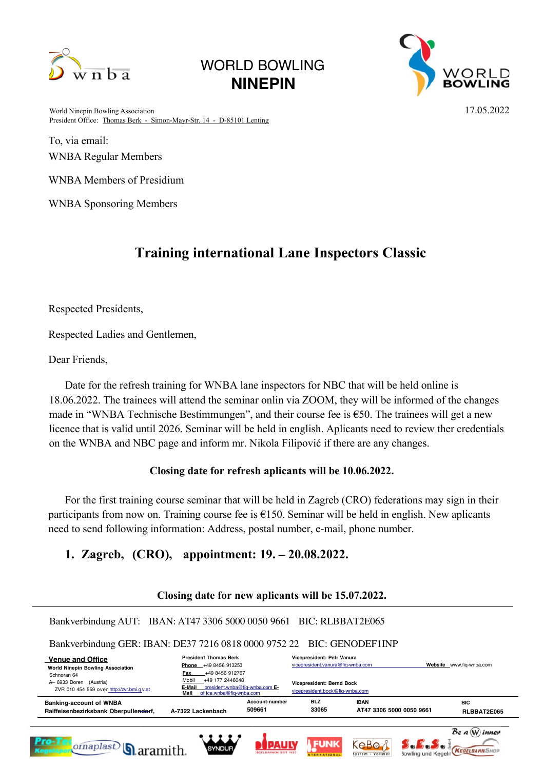

# WORLD BOWLING **NINEPIN**



World Ninepin Bowling Association 17.05.2022 President Office: Thomas Berk - Simon-Mayr-Str. 14 - D-85101 Lenting

To, via email: WNBA Regular Members

WNBA Members of Presidium

WNBA Sponsoring Members

## **Training international Lane Inspectors Classic**

Respected Presidents,

Respected Ladies and Gentlemen,

Dear Friends,

Date for the refresh training for WNBA lane inspectors for NBC that will be held online is 18.06.2022. The trainees will attend the seminar onlin via ZOOM, they will be informed of the changes made in "WNBA Technische Bestimmungen", and their course fee is  $\epsilon$ 50. The trainees will get a new licence that is valid until 2026. Seminar will be held in english. Aplicants need to review ther credentials on the WNBA and NBC page and inform mr. Nikola Filipović if there are any changes.

### **Closing date for refresh aplicants will be 10.06.2022.**

For the first training course seminar that will be held in Zagreb (CRO) federations may sign in their participants from now on. Training course fee is  $£150$ . Seminar will be held in english. New aplicants need to send following information: Address, postal number, e-mail, phone number.

### **1. Zagreb, (CRO), appointment: 19. – 20.08.2022.**

#### **Closing date for new aplicants will be 15.07.2022.**

Bankverbindung AUT: IBAN: AT47 3306 5000 0050 9661 BIC: RLBBAT2E065 Bankverbindung GER: IBAN: DE37 7216 0818 0000 9752 22 BIC: GENODEF1INP  **Venue and Office President Thomas Berk Vicepresident: Petr Vanura Phone** +49 8456 913253 vicepresident.vanura@fiq-wnba.com **Website** www.fiq-wnba.com **World Ninepin Bowling Association Fax** +49 8456 912767 Schnoran 64  $\frac{\text{Mobil}}{\text{F-Mail}}$  +49 177 2446048 A– 6933 Doren (Austria) **Vicepresident: Bernd Bock E-Mail** president.wnba@fiq-wnba.com **E-**ZVR 010 454 559 over http://zvr.bmi.g v.at vicepresident.bock@fig-wnba **Mail** of ice.wnba@fiq-wnba.com **Account-number BLZ IBAN BIC Banking-account of WNBA 509661 33065 AT47 3306 5000 0050 9661 Raiffeisenbezirksbank Oberpullendorf, A-7322 Lackenbach RLBBAT2E065** Be a W inner **FUNK** KeBo  $\mathcal{S}$ .  $\mathcal{F}$ .  $\mathcal{S}$ . *ornaplast* **BOOK TO BE KEGELBAHNSHOP Q**aramith. SYNDUF **System**